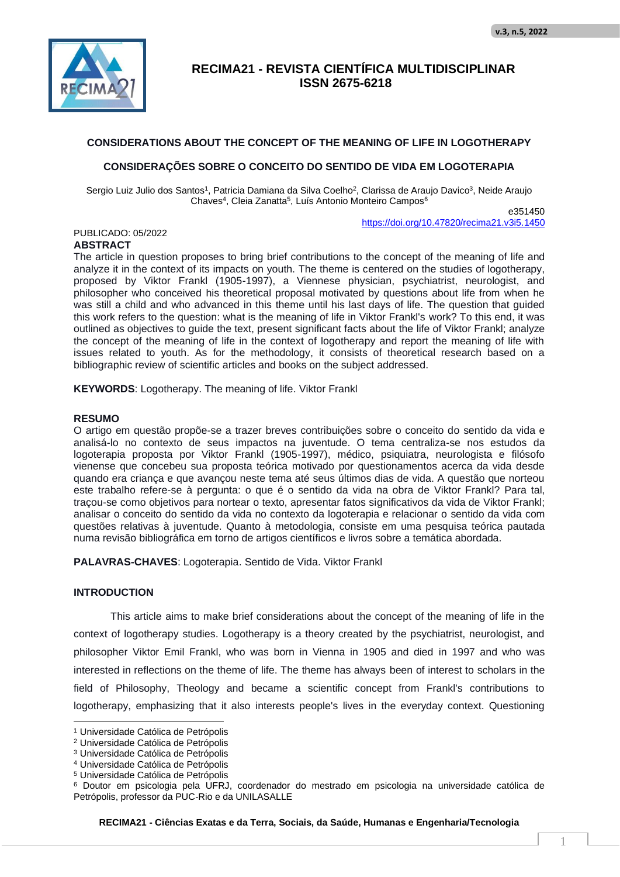

### **CONSIDERATIONS ABOUT THE CONCEPT OF THE MEANING OF LIFE IN LOGOTHERAPY**

### **CONSIDERAÇÕES SOBRE O CONCEITO DO SENTIDO DE VIDA EM LOGOTERAPIA**

Sergio Luiz Julio dos Santos<sup>1</sup>, Patricia Damiana da Silva Coelho<sup>2</sup>, Clarissa de Araujo Davico<sup>3</sup>, Neide Araujo Chaves<sup>4</sup>, Cleia Zanatta<sup>5</sup>, Luís Antonio Monteiro Campos<sup>6</sup> e351450

https://doi.org/10.47820/recima21.v3i5.1450

#### PUBLICADO: 05/2022 **ABSTRACT**

The article in question proposes to bring brief contributions to the concept of the meaning of life and analyze it in the context of its impacts on youth. The theme is centered on the studies of logotherapy, proposed by Viktor Frankl (1905-1997), a Viennese physician, psychiatrist, neurologist, and philosopher who conceived his theoretical proposal motivated by questions about life from when he was still a child and who advanced in this theme until his last days of life. The question that guided this work refers to the question: what is the meaning of life in Viktor Frankl's work? To this end, it was outlined as objectives to guide the text, present significant facts about the life of Viktor Frankl; analyze the concept of the meaning of life in the context of logotherapy and report the meaning of life with issues related to youth. As for the methodology, it consists of theoretical research based on a bibliographic review of scientific articles and books on the subject addressed.

**KEYWORDS**: Logotherapy. The meaning of life. Viktor Frankl

### **RESUMO**

O artigo em questão propõe-se a trazer breves contribuições sobre o conceito do sentido da vida e analisá-lo no contexto de seus impactos na juventude. O tema centraliza-se nos estudos da logoterapia proposta por Viktor Frankl (1905-1997), médico, psiquiatra, neurologista e filósofo vienense que concebeu sua proposta teórica motivado por questionamentos acerca da vida desde quando era criança e que avançou neste tema até seus últimos dias de vida. A questão que norteou este trabalho refere-se à pergunta: o que é o sentido da vida na obra de Viktor Frankl? Para tal, traçou-se como objetivos para nortear o texto, apresentar fatos significativos da vida de Viktor Frankl; analisar o conceito do sentido da vida no contexto da logoterapia e relacionar o sentido da vida com questões relativas à juventude. Quanto à metodologia, consiste em uma pesquisa teórica pautada numa revisão bibliográfica em torno de artigos científicos e livros sobre a temática abordada.

**PALAVRAS-CHAVES**: Logoterapia. Sentido de Vida. Viktor Frankl

### **INTRODUCTION**

This article aims to make brief considerations about the concept of the meaning of life in the context of logotherapy studies. Logotherapy is a theory created by the psychiatrist, neurologist, and philosopher Viktor Emil Frankl, who was born in Vienna in 1905 and died in 1997 and who was interested in reflections on the theme of life. The theme has always been of interest to scholars in the field of Philosophy, Theology and became a scientific concept from Frankl's contributions to logotherapy, emphasizing that it also interests people's lives in the everyday context. Questioning

**RECIMA21 - Ciências Exatas e da Terra, Sociais, da Saúde, Humanas e Engenharia/Tecnologia**

<sup>1</sup> Universidade Católica de Petrópolis

<sup>2</sup> Universidade Católica de Petrópolis

<sup>3</sup> Universidade Católica de Petrópolis

<sup>4</sup> Universidade Católica de Petrópolis

<sup>5</sup> Universidade Católica de Petrópolis

<sup>6</sup> Doutor em psicologia pela UFRJ, coordenador do mestrado em psicologia na universidade católica de Petrópolis, professor da PUC-Rio e da UNILASALLE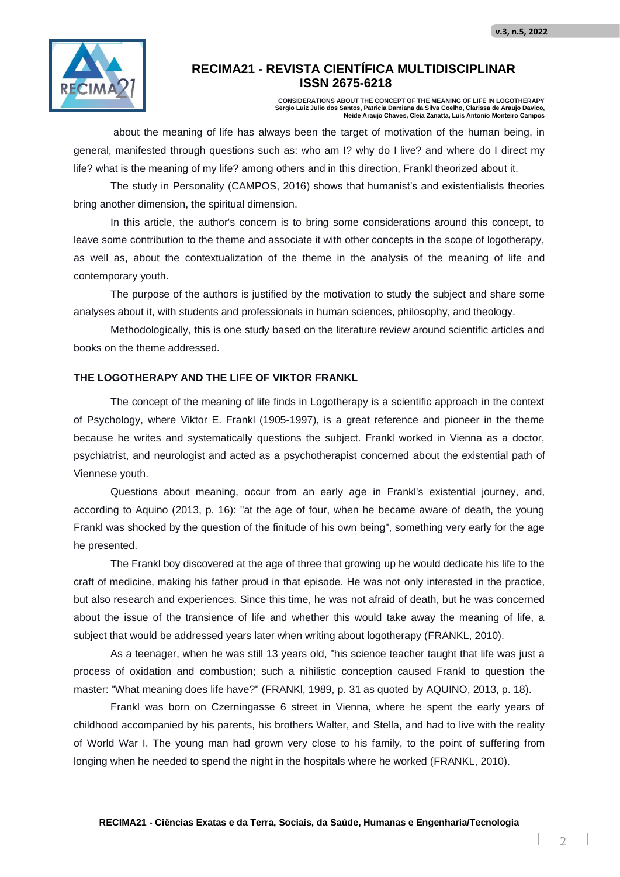

**CONSIDERATIONS ABOUT THE CONCEPT OF THE MEANING OF LIFE IN LOGOTHERAPY Sergio Luiz Julio dos Santos, Patricia Damiana da Silva Coelho, Clarissa de Araujo Davico, Neide Araujo Chaves, Cleia Zanatta, Luís Antonio Monteiro Campos**

about the meaning of life has always been the target of motivation of the human being, in general, manifested through questions such as: who am I? why do I live? and where do I direct my life? what is the meaning of my life? among others and in this direction, Frankl theorized about it.

The study in Personality (CAMPOS, 2016) shows that humanist's and existentialists theories bring another dimension, the spiritual dimension.

In this article, the author's concern is to bring some considerations around this concept, to leave some contribution to the theme and associate it with other concepts in the scope of logotherapy, as well as, about the contextualization of the theme in the analysis of the meaning of life and contemporary youth.

The purpose of the authors is justified by the motivation to study the subject and share some analyses about it, with students and professionals in human sciences, philosophy, and theology.

Methodologically, this is one study based on the literature review around scientific articles and books on the theme addressed.

### **THE LOGOTHERAPY AND THE LIFE OF VIKTOR FRANKL**

The concept of the meaning of life finds in Logotherapy is a scientific approach in the context of Psychology, where Viktor E. Frankl (1905-1997), is a great reference and pioneer in the theme because he writes and systematically questions the subject. Frankl worked in Vienna as a doctor, psychiatrist, and neurologist and acted as a psychotherapist concerned about the existential path of Viennese youth.

Questions about meaning, occur from an early age in Frankl's existential journey, and, according to Aquino (2013, p. 16): "at the age of four, when he became aware of death, the young Frankl was shocked by the question of the finitude of his own being", something very early for the age he presented.

The Frankl boy discovered at the age of three that growing up he would dedicate his life to the craft of medicine, making his father proud in that episode. He was not only interested in the practice, but also research and experiences. Since this time, he was not afraid of death, but he was concerned about the issue of the transience of life and whether this would take away the meaning of life, a subject that would be addressed years later when writing about logotherapy (FRANKL, 2010).

As a teenager, when he was still 13 years old, "his science teacher taught that life was just a process of oxidation and combustion; such a nihilistic conception caused Frankl to question the master: "What meaning does life have?" (FRANKl, 1989, p. 31 as quoted by AQUINO, 2013, p. 18).

Frankl was born on Czerningasse 6 street in Vienna, where he spent the early years of childhood accompanied by his parents, his brothers Walter, and Stella, and had to live with the reality of World War I. The young man had grown very close to his family, to the point of suffering from longing when he needed to spend the night in the hospitals where he worked (FRANKL, 2010).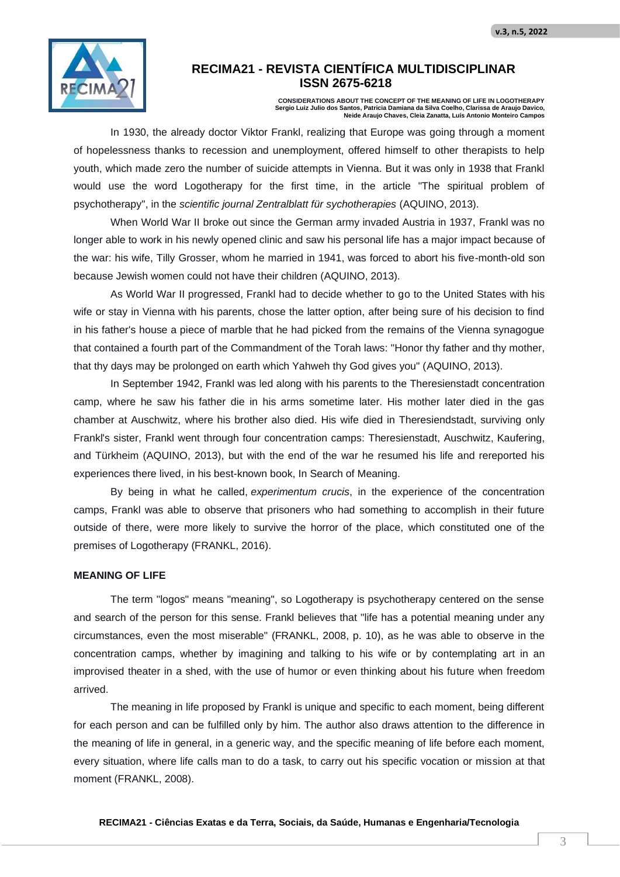

**CONSIDERATIONS ABOUT THE CONCEPT OF THE MEANING OF LIFE IN LOGOTHERAPY Sergio Luiz Julio dos Santos, Patricia Damiana da Silva Coelho, Clarissa de Araujo Davico, Neide Araujo Chaves, Cleia Zanatta, Luís Antonio Monteiro Campos**

In 1930, the already doctor Viktor Frankl, realizing that Europe was going through a moment of hopelessness thanks to recession and unemployment, offered himself to other therapists to help youth, which made zero the number of suicide attempts in Vienna. But it was only in 1938 that Frankl would use the word Logotherapy for the first time, in the article "The spiritual problem of psychotherapy", in the *scientific journal Zentralblatt für sychotherapies* (AQUINO, 2013).

When World War II broke out since the German army invaded Austria in 1937, Frankl was no longer able to work in his newly opened clinic and saw his personal life has a major impact because of the war: his wife, Tilly Grosser, whom he married in 1941, was forced to abort his five-month-old son because Jewish women could not have their children (AQUINO, 2013).

As World War II progressed, Frankl had to decide whether to go to the United States with his wife or stay in Vienna with his parents, chose the latter option, after being sure of his decision to find in his father's house a piece of marble that he had picked from the remains of the Vienna synagogue that contained a fourth part of the Commandment of the Torah laws: "Honor thy father and thy mother, that thy days may be prolonged on earth which Yahweh thy God gives you" (AQUINO, 2013).

In September 1942, Frankl was led along with his parents to the Theresienstadt concentration camp, where he saw his father die in his arms sometime later. His mother later died in the gas chamber at Auschwitz, where his brother also died. His wife died in Theresiendstadt, surviving only Frankl's sister, Frankl went through four concentration camps: Theresienstadt, Auschwitz, Kaufering, and Türkheim (AQUINO, 2013), but with the end of the war he resumed his life and rereported his experiences there lived, in his best-known book, In Search of Meaning.

By being in what he called, *experimentum crucis*, in the experience of the concentration camps, Frankl was able to observe that prisoners who had something to accomplish in their future outside of there, were more likely to survive the horror of the place, which constituted one of the premises of Logotherapy (FRANKL, 2016).

### **MEANING OF LIFE**

The term "logos" means "meaning", so Logotherapy is psychotherapy centered on the sense and search of the person for this sense. Frankl believes that "life has a potential meaning under any circumstances, even the most miserable" (FRANKL, 2008, p. 10), as he was able to observe in the concentration camps, whether by imagining and talking to his wife or by contemplating art in an improvised theater in a shed, with the use of humor or even thinking about his future when freedom arrived.

The meaning in life proposed by Frankl is unique and specific to each moment, being different for each person and can be fulfilled only by him. The author also draws attention to the difference in the meaning of life in general, in a generic way, and the specific meaning of life before each moment, every situation, where life calls man to do a task, to carry out his specific vocation or mission at that moment (FRANKL, 2008).

**RECIMA21 - Ciências Exatas e da Terra, Sociais, da Saúde, Humanas e Engenharia/Tecnologia**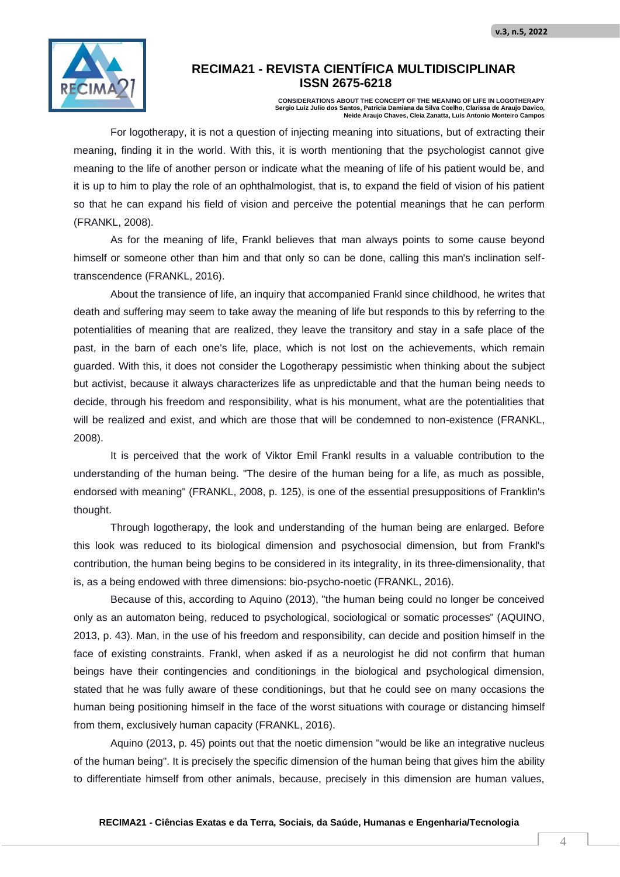

**CONSIDERATIONS ABOUT THE CONCEPT OF THE MEANING OF LIFE IN LOGOTHERAPY Sergio Luiz Julio dos Santos, Patricia Damiana da Silva Coelho, Clarissa de Araujo Davico, Neide Araujo Chaves, Cleia Zanatta, Luís Antonio Monteiro Campos**

For logotherapy, it is not a question of injecting meaning into situations, but of extracting their meaning, finding it in the world. With this, it is worth mentioning that the psychologist cannot give meaning to the life of another person or indicate what the meaning of life of his patient would be, and it is up to him to play the role of an ophthalmologist, that is, to expand the field of vision of his patient so that he can expand his field of vision and perceive the potential meanings that he can perform (FRANKL, 2008).

As for the meaning of life, Frankl believes that man always points to some cause beyond himself or someone other than him and that only so can be done, calling this man's inclination selftranscendence (FRANKL, 2016).

About the transience of life, an inquiry that accompanied Frankl since childhood, he writes that death and suffering may seem to take away the meaning of life but responds to this by referring to the potentialities of meaning that are realized, they leave the transitory and stay in a safe place of the past, in the barn of each one's life, place, which is not lost on the achievements, which remain guarded. With this, it does not consider the Logotherapy pessimistic when thinking about the subject but activist, because it always characterizes life as unpredictable and that the human being needs to decide, through his freedom and responsibility, what is his monument, what are the potentialities that will be realized and exist, and which are those that will be condemned to non-existence (FRANKL, 2008).

It is perceived that the work of Viktor Emil Frankl results in a valuable contribution to the understanding of the human being. "The desire of the human being for a life, as much as possible, endorsed with meaning" (FRANKL, 2008, p. 125), is one of the essential presuppositions of Franklin's thought.

Through logotherapy, the look and understanding of the human being are enlarged. Before this look was reduced to its biological dimension and psychosocial dimension, but from Frankl's contribution, the human being begins to be considered in its integrality, in its three-dimensionality, that is, as a being endowed with three dimensions: bio-psycho-noetic (FRANKL, 2016).

Because of this, according to Aquino (2013), "the human being could no longer be conceived only as an automaton being, reduced to psychological, sociological or somatic processes" (AQUINO, 2013, p. 43). Man, in the use of his freedom and responsibility, can decide and position himself in the face of existing constraints. Frankl, when asked if as a neurologist he did not confirm that human beings have their contingencies and conditionings in the biological and psychological dimension, stated that he was fully aware of these conditionings, but that he could see on many occasions the human being positioning himself in the face of the worst situations with courage or distancing himself from them, exclusively human capacity (FRANKL, 2016).

Aquino (2013, p. 45) points out that the noetic dimension "would be like an integrative nucleus of the human being". It is precisely the specific dimension of the human being that gives him the ability to differentiate himself from other animals, because, precisely in this dimension are human values,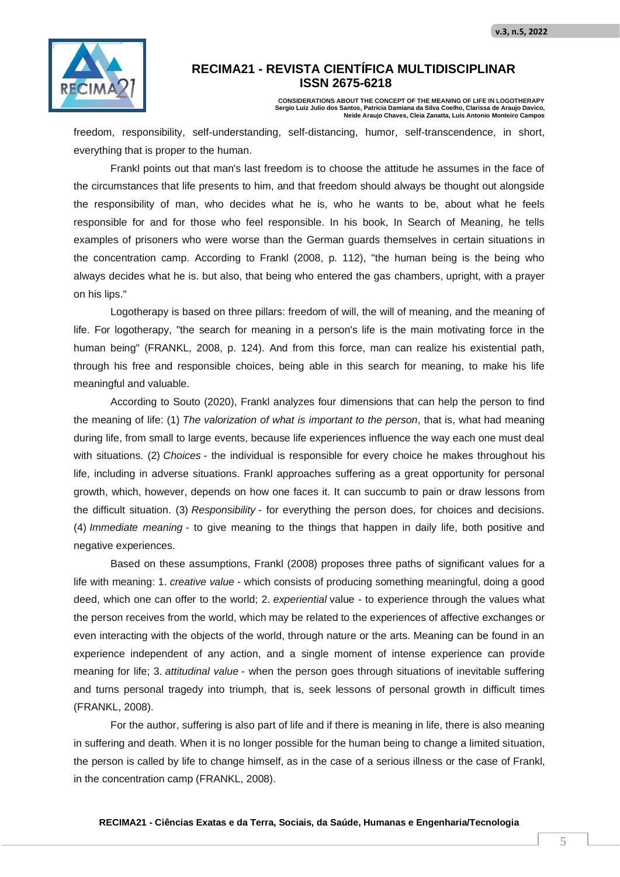

**CONSIDERATIONS ABOUT THE CONCEPT OF THE MEANING OF LIFE IN LOGOTHERAPY Sergio Luiz Julio dos Santos, Patricia Damiana da Silva Coelho, Clarissa de Araujo Davico, Neide Araujo Chaves, Cleia Zanatta, Luís Antonio Monteiro Campos**

freedom, responsibility, self-understanding, self-distancing, humor, self-transcendence, in short, everything that is proper to the human.

Frankl points out that man's last freedom is to choose the attitude he assumes in the face of the circumstances that life presents to him, and that freedom should always be thought out alongside the responsibility of man, who decides what he is, who he wants to be, about what he feels responsible for and for those who feel responsible. In his book, In Search of Meaning, he tells examples of prisoners who were worse than the German guards themselves in certain situations in the concentration camp. According to Frankl (2008, p. 112), "the human being is the being who always decides what he is. but also, that being who entered the gas chambers, upright, with a prayer on his lips."

Logotherapy is based on three pillars: freedom of will, the will of meaning, and the meaning of life. For logotherapy, "the search for meaning in a person's life is the main motivating force in the human being" (FRANKL, 2008, p. 124). And from this force, man can realize his existential path, through his free and responsible choices, being able in this search for meaning, to make his life meaningful and valuable.

According to Souto (2020), Frankl analyzes four dimensions that can help the person to find the meaning of life: (1) *The valorization of what is important to the person*, that is, what had meaning during life, from small to large events, because life experiences influence the way each one must deal with situations. (2) *Choices* - the individual is responsible for every choice he makes throughout his life, including in adverse situations. Frankl approaches suffering as a great opportunity for personal growth, which, however, depends on how one faces it. It can succumb to pain or draw lessons from the difficult situation. (3) *Responsibility* - for everything the person does, for choices and decisions. (4) *Immediate meaning* - to give meaning to the things that happen in daily life, both positive and negative experiences.

Based on these assumptions, Frankl (2008) proposes three paths of significant values for a life with meaning: 1. *creative value* - which consists of producing something meaningful, doing a good deed, which one can offer to the world; 2. *experiential* value - to experience through the values what the person receives from the world, which may be related to the experiences of affective exchanges or even interacting with the objects of the world, through nature or the arts. Meaning can be found in an experience independent of any action, and a single moment of intense experience can provide meaning for life; 3. *attitudinal value* - when the person goes through situations of inevitable suffering and turns personal tragedy into triumph, that is, seek lessons of personal growth in difficult times (FRANKL, 2008).

For the author, suffering is also part of life and if there is meaning in life, there is also meaning in suffering and death. When it is no longer possible for the human being to change a limited situation, the person is called by life to change himself, as in the case of a serious illness or the case of Frankl, in the concentration camp (FRANKL, 2008).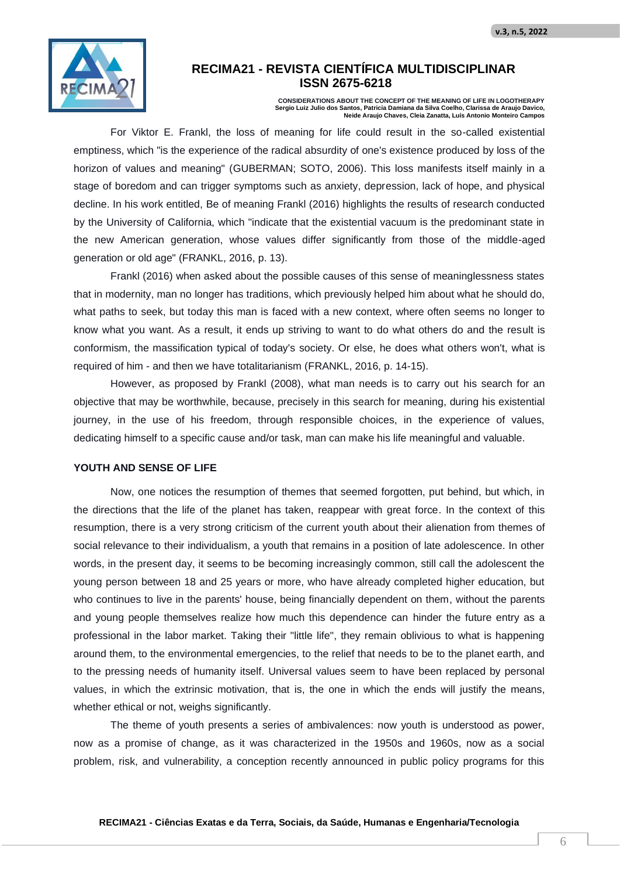

**CONSIDERATIONS ABOUT THE CONCEPT OF THE MEANING OF LIFE IN LOGOTHERAPY Sergio Luiz Julio dos Santos, Patricia Damiana da Silva Coelho, Clarissa de Araujo Davico, Neide Araujo Chaves, Cleia Zanatta, Luís Antonio Monteiro Campos**

For Viktor E. Frankl, the loss of meaning for life could result in the so-called existential emptiness, which "is the experience of the radical absurdity of one's existence produced by loss of the horizon of values and meaning" (GUBERMAN; SOTO, 2006). This loss manifests itself mainly in a stage of boredom and can trigger symptoms such as anxiety, depression, lack of hope, and physical decline. In his work entitled, Be of meaning Frankl (2016) highlights the results of research conducted by the University of California, which "indicate that the existential vacuum is the predominant state in the new American generation, whose values differ significantly from those of the middle-aged generation or old age" (FRANKL, 2016, p. 13).

Frankl (2016) when asked about the possible causes of this sense of meaninglessness states that in modernity, man no longer has traditions, which previously helped him about what he should do, what paths to seek, but today this man is faced with a new context, where often seems no longer to know what you want. As a result, it ends up striving to want to do what others do and the result is conformism, the massification typical of today's society. Or else, he does what others won't, what is required of him - and then we have totalitarianism (FRANKL, 2016, p. 14-15).

However, as proposed by Frankl (2008), what man needs is to carry out his search for an objective that may be worthwhile, because, precisely in this search for meaning, during his existential journey, in the use of his freedom, through responsible choices, in the experience of values, dedicating himself to a specific cause and/or task, man can make his life meaningful and valuable.

#### **YOUTH AND SENSE OF LIFE**

Now, one notices the resumption of themes that seemed forgotten, put behind, but which, in the directions that the life of the planet has taken, reappear with great force. In the context of this resumption, there is a very strong criticism of the current youth about their alienation from themes of social relevance to their individualism, a youth that remains in a position of late adolescence. In other words, in the present day, it seems to be becoming increasingly common, still call the adolescent the young person between 18 and 25 years or more, who have already completed higher education, but who continues to live in the parents' house, being financially dependent on them, without the parents and young people themselves realize how much this dependence can hinder the future entry as a professional in the labor market. Taking their "little life", they remain oblivious to what is happening around them, to the environmental emergencies, to the relief that needs to be to the planet earth, and to the pressing needs of humanity itself. Universal values seem to have been replaced by personal values, in which the extrinsic motivation, that is, the one in which the ends will justify the means, whether ethical or not, weighs significantly.

The theme of youth presents a series of ambivalences: now youth is understood as power, now as a promise of change, as it was characterized in the 1950s and 1960s, now as a social problem, risk, and vulnerability, a conception recently announced in public policy programs for this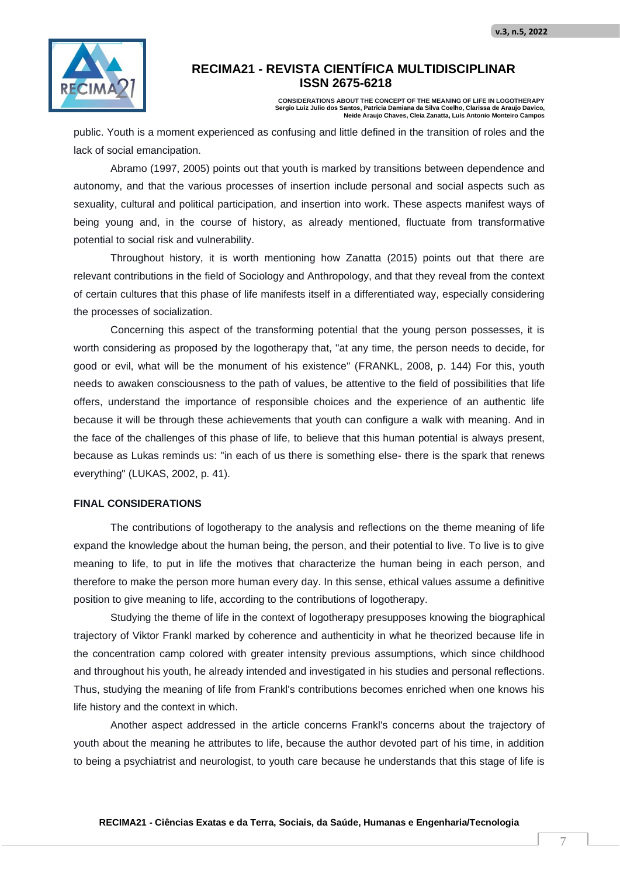

**CONSIDERATIONS ABOUT THE CONCEPT OF THE MEANING OF LIFE IN LOGOTHERAPY Sergio Luiz Julio dos Santos, Patricia Damiana da Silva Coelho, Clarissa de Araujo Davico, Neide Araujo Chaves, Cleia Zanatta, Luís Antonio Monteiro Campos**

public. Youth is a moment experienced as confusing and little defined in the transition of roles and the lack of social emancipation.

Abramo (1997, 2005) points out that youth is marked by transitions between dependence and autonomy, and that the various processes of insertion include personal and social aspects such as sexuality, cultural and political participation, and insertion into work. These aspects manifest ways of being young and, in the course of history, as already mentioned, fluctuate from transformative potential to social risk and vulnerability.

Throughout history, it is worth mentioning how Zanatta (2015) points out that there are relevant contributions in the field of Sociology and Anthropology, and that they reveal from the context of certain cultures that this phase of life manifests itself in a differentiated way, especially considering the processes of socialization.

Concerning this aspect of the transforming potential that the young person possesses, it is worth considering as proposed by the logotherapy that, "at any time, the person needs to decide, for good or evil, what will be the monument of his existence" (FRANKL, 2008, p. 144) For this, youth needs to awaken consciousness to the path of values, be attentive to the field of possibilities that life offers, understand the importance of responsible choices and the experience of an authentic life because it will be through these achievements that youth can configure a walk with meaning. And in the face of the challenges of this phase of life, to believe that this human potential is always present, because as Lukas reminds us: "in each of us there is something else- there is the spark that renews everything" (LUKAS, 2002, p. 41).

#### **FINAL CONSIDERATIONS**

The contributions of logotherapy to the analysis and reflections on the theme meaning of life expand the knowledge about the human being, the person, and their potential to live. To live is to give meaning to life, to put in life the motives that characterize the human being in each person, and therefore to make the person more human every day. In this sense, ethical values assume a definitive position to give meaning to life, according to the contributions of logotherapy.

Studying the theme of life in the context of logotherapy presupposes knowing the biographical trajectory of Viktor Frankl marked by coherence and authenticity in what he theorized because life in the concentration camp colored with greater intensity previous assumptions, which since childhood and throughout his youth, he already intended and investigated in his studies and personal reflections. Thus, studying the meaning of life from Frankl's contributions becomes enriched when one knows his life history and the context in which.

Another aspect addressed in the article concerns Frankl's concerns about the trajectory of youth about the meaning he attributes to life, because the author devoted part of his time, in addition to being a psychiatrist and neurologist, to youth care because he understands that this stage of life is